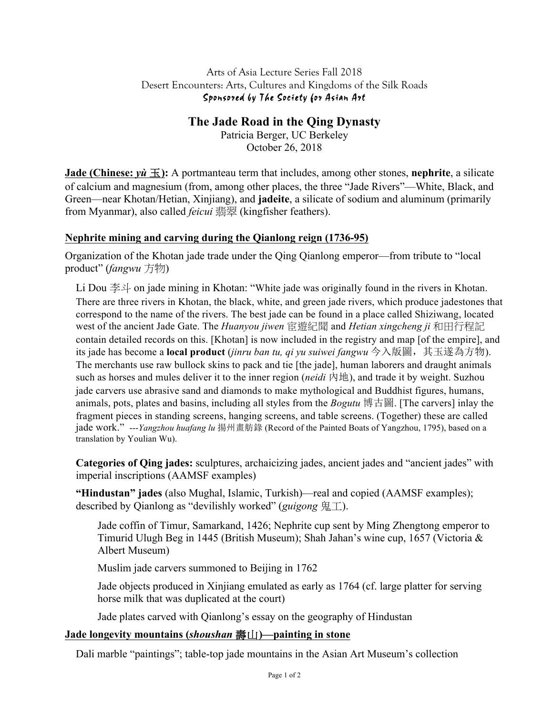#### Arts of Asia Lecture Series Fall 2018 Desert Encounters: Arts, Cultures and Kingdoms of the Silk Roads Sponsored by The Society for Asian Art

# **The Jade Road in the Qing Dynasty**

Patricia Berger, UC Berkeley October 26, 2018

**Jade** (Chinese:  $y\hat{u} \equiv$ ): A portmanteau term that includes, among other stones, nephrite, a silicate of calcium and magnesium (from, among other places, the three "Jade Rivers"—White, Black, and Green—near Khotan/Hetian, Xinjiang), and **jadeite**, a silicate of sodium and aluminum (primarily from Myanmar), also called *feicui* 翡翠 (kingfisher feathers).

## **Nephrite mining and carving during the Qianlong reign (1736-95)**

Organization of the Khotan jade trade under the Qing Qianlong emperor—from tribute to "local product" (*fangwu* 方物)

Li Dou 李斗 on jade mining in Khotan: "White jade was originally found in the rivers in Khotan. There are three rivers in Khotan, the black, white, and green jade rivers, which produce jadestones that correspond to the name of the rivers. The best jade can be found in a place called Shiziwang, located west of the ancient Jade Gate. The *Huanyou jiwen* 宦遊紀聞 and *Hetian xingcheng ji* 和田行程記 contain detailed records on this. [Khotan] is now included in the registry and map [of the empire], and its jade has become a **local product** (*jinru ban tu, qi yu suiwei fangwu* 今入版圖,其玉遂為方物). The merchants use raw bullock skins to pack and tie [the jade], human laborers and draught animals such as horses and mules deliver it to the inner region (*neidi* 內地), and trade it by weight. Suzhou jade carvers use abrasive sand and diamonds to make mythological and Buddhist figures, humans, animals, pots, plates and basins, including all styles from the *Bogutu* 博古圖. [The carvers] inlay the fragment pieces in standing screens, hanging screens, and table screens. (Together) these are called jade work." ---*Yangzhou huafang lu* 揚州畫舫錄 (Record of the Painted Boats of Yangzhou, 1795), based on a translation by Youlian Wu).

**Categories of Qing jades:** sculptures, archaicizing jades, ancient jades and "ancient jades" with imperial inscriptions (AAMSF examples)

**"Hindustan" jades** (also Mughal, Islamic, Turkish)—real and copied (AAMSF examples); described by Qianlong as "devilishly worked" (*guigong* 鬼工).

Jade coffin of Timur, Samarkand, 1426; Nephrite cup sent by Ming Zhengtong emperor to Timurid Ulugh Beg in 1445 (British Museum); Shah Jahan's wine cup, 1657 (Victoria & Albert Museum)

Muslim jade carvers summoned to Beijing in 1762

Jade objects produced in Xinjiang emulated as early as 1764 (cf. large platter for serving horse milk that was duplicated at the court)

Jade plates carved with Qianlong's essay on the geography of Hindustan

## **Jade longevity mountains (***shoushan* 壽山**)—painting in stone**

Dali marble "paintings"; table-top jade mountains in the Asian Art Museum's collection